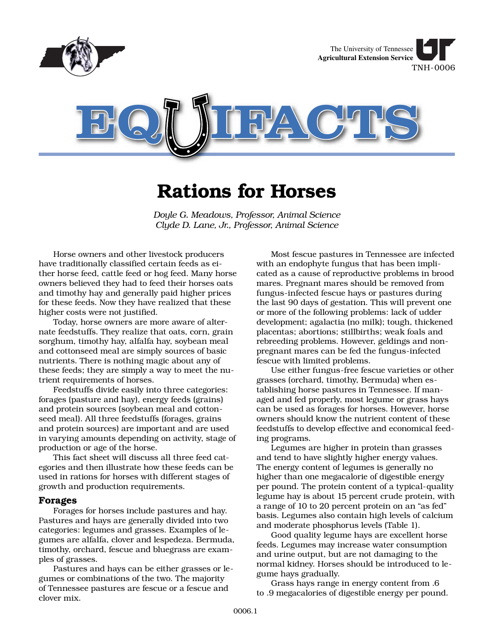

# **Rations for Horses**

*Doyle G. Meadows, Professor, Animal Science Clyde D. Lane, Jr., Professor, Animal Science*

Horse owners and other livestock producers have traditionally classified certain feeds as either horse feed, cattle feed or hog feed. Many horse owners believed they had to feed their horses oats and timothy hay and generally paid higher prices for these feeds. Now they have realized that these higher costs were not justified.

Today, horse owners are more aware of alternate feedstuffs. They realize that oats, corn, grain sorghum, timothy hay, alfalfa hay, soybean meal and cottonseed meal are simply sources of basic nutrients. There is nothing magic about any of these feeds; they are simply a way to meet the nutrient requirements of horses.

Feedstuffs divide easily into three categories: forages (pasture and hay), energy feeds (grains) and protein sources (soybean meal and cottonseed meal). All three feedstuffs (forages, grains and protein sources) are important and are used in varying amounts depending on activity, stage of production or age of the horse.

This fact sheet will discuss all three feed categories and then illustrate how these feeds can be used in rations for horses with different stages of growth and production requirements.

## **Forages**

Forages for horses include pastures and hay. Pastures and hays are generally divided into two categories: legumes and grasses. Examples of legumes are alfalfa, clover and lespedeza. Bermuda, timothy, orchard, fescue and bluegrass are examples of grasses.

Pastures and hays can be either grasses or legumes or combinations of the two. The majority of Tennessee pastures are fescue or a fescue and clover mix.

Most fescue pastures in Tennessee are infected with an endophyte fungus that has been implicated as a cause of reproductive problems in brood mares. Pregnant mares should be removed from fungus-infected fescue hays or pastures during the last 90 days of gestation. This will prevent one or more of the following problems: lack of udder development; agalactia (no milk); tough, thickened placentas; abortions; stillbirths; weak foals and rebreeding problems. However, geldings and nonpregnant mares can be fed the fungus-infected fescue with limited problems.

Use either fungus-free fescue varieties or other grasses (orchard, timothy, Bermuda) when establishing horse pastures in Tennessee. If managed and fed properly, most legume or grass hays can be used as forages for horses. However, horse owners should know the nutrient content of these feedstuffs to develop effective and economical feeding programs.

Legumes are higher in protein than grasses and tend to have slightly higher energy values. The energy content of legumes is generally no higher than one megacalorie of digestible energy per pound. The protein content of a typical-quality legume hay is about 15 percent crude protein, with a range of 10 to 20 percent protein on an "as fed" basis. Legumes also contain high levels of calcium and moderate phosphorus levels (Table 1).

Good quality legume hays are excellent horse feeds. Legumes may increase water consumption and urine output, but are not damaging to the normal kidney. Horses should be introduced to legume hays gradually.

Grass hays range in energy content from .6 to .9 megacalories of digestible energy per pound.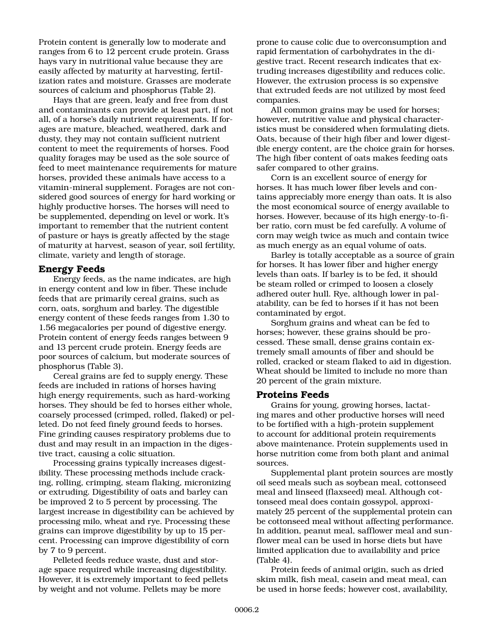Protein content is generally low to moderate and ranges from 6 to 12 percent crude protein. Grass hays vary in nutritional value because they are easily affected by maturity at harvesting, fertilization rates and moisture. Grasses are moderate sources of calcium and phosphorus (Table 2).

Hays that are green, leafy and free from dust and contaminants can provide at least part, if not all, of a horse's daily nutrient requirements. If forages are mature, bleached, weathered, dark and dusty, they may not contain sufficient nutrient content to meet the requirements of horses. Food quality forages may be used as the sole source of feed to meet maintenance requirements for mature horses, provided these animals have access to a vitamin-mineral supplement. Forages are not considered good sources of energy for hard working or highly productive horses. The horses will need to be supplemented, depending on level or work. It's important to remember that the nutrient content of pasture or hays is greatly affected by the stage of maturity at harvest, season of year, soil fertility, climate, variety and length of storage.

## **Energy Feeds**

Energy feeds, as the name indicates, are high in energy content and low in fiber. These include feeds that are primarily cereal grains, such as corn, oats, sorghum and barley. The digestible energy content of these feeds ranges from 1.30 to 1.56 megacalories per pound of digestive energy. Protein content of energy feeds ranges between 9 and 13 percent crude protein. Energy feeds are poor sources of calcium, but moderate sources of phosphorus (Table 3).

Cereal grains are fed to supply energy. These feeds are included in rations of horses having high energy requirements, such as hard-working horses. They should be fed to horses either whole, coarsely processed (crimped, rolled, flaked) or pelleted. Do not feed finely ground feeds to horses. Fine grinding causes respiratory problems due to dust and may result in an impaction in the digestive tract, causing a colic situation.

Processing grains typically increases digestibility. These processing methods include cracking, rolling, crimping, steam flaking, micronizing or extruding. Digestibility of oats and barley can be improved 2 to 5 percent by processing. The largest increase in digestibility can be achieved by processing milo, wheat and rye. Processing these grains can improve digestibility by up to 15 percent. Processing can improve digestibility of corn by 7 to 9 percent.

Pelleted feeds reduce waste, dust and storage space required while increasing digestibility. However, it is extremely important to feed pellets by weight and not volume. Pellets may be more

prone to cause colic due to overconsumption and rapid fermentation of carbohydrates in the digestive tract. Recent research indicates that extruding increases digestibility and reduces colic. However, the extrusion process is so expensive that extruded feeds are not utilized by most feed companies.

All common grains may be used for horses; however, nutritive value and physical characteristics must be considered when formulating diets. Oats, because of their high fiber and lower digestible energy content, are the choice grain for horses. The high fiber content of oats makes feeding oats safer compared to other grains.

Corn is an excellent source of energy for horses. It has much lower fiber levels and contains appreciably more energy than oats. It is also the most economical source of energy available to horses. However, because of its high energy-to-fiber ratio, corn must be fed carefully. A volume of corn may weigh twice as much and contain twice as much energy as an equal volume of oats.

Barley is totally acceptable as a source of grain for horses. It has lower fiber and higher energy levels than oats. If barley is to be fed, it should be steam rolled or crimped to loosen a closely adhered outer hull. Rye, although lower in palatability, can be fed to horses if it has not been contaminated by ergot.

Sorghum grains and wheat can be fed to horses; however, these grains should be processed. These small, dense grains contain extremely small amounts of fiber and should be rolled, cracked or steam flaked to aid in digestion. Wheat should be limited to include no more than 20 percent of the grain mixture.

#### **Proteins Feeds**

Grains for young, growing horses, lactating mares and other productive horses will need to be fortified with a high-protein supplement to account for additional protein requirements above maintenance. Protein supplements used in horse nutrition come from both plant and animal sources.

Supplemental plant protein sources are mostly oil seed meals such as soybean meal, cottonseed meal and linseed (flaxseed) meal. Although cottonseed meal does contain gossypol, approximately 25 percent of the supplemental protein can be cottonseed meal without affecting performance. In addition, peanut meal, safflower meal and sunflower meal can be used in horse diets but have limited application due to availability and price (Table 4).

Protein feeds of animal origin, such as dried skim milk, fish meal, casein and meat meal, can be used in horse feeds; however cost, availability,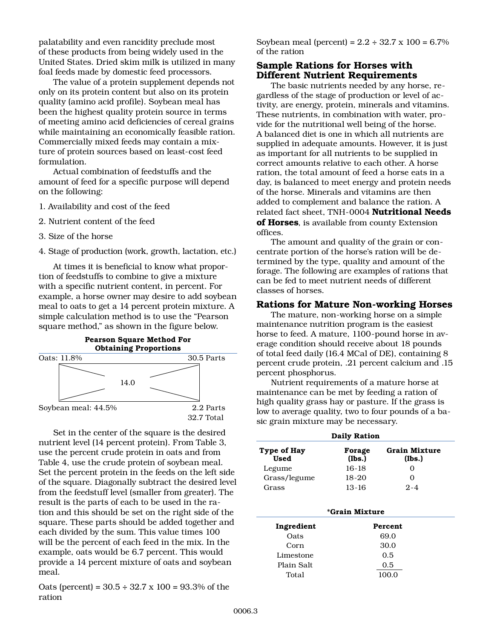palatability and even rancidity preclude most of these products from being widely used in the United States. Dried skim milk is utilized in many foal feeds made by domestic feed processors.

The value of a protein supplement depends not only on its protein content but also on its protein quality (amino acid profile). Soybean meal has been the highest quality protein source in terms of meeting amino acid deficiencies of cereal grains while maintaining an economically feasible ration. Commercially mixed feeds may contain a mixture of protein sources based on least-cost feed formulation.

Actual combination of feedstuffs and the amount of feed for a specific purpose will depend on the following:

- 1. Availability and cost of the feed
- 2. Nutrient content of the feed
- 3. Size of the horse
- 4. Stage of production (work, growth, lactation, etc.)

At times it is beneficial to know what proportion of feedstuffs to combine to give a mixture with a specific nutrient content, in percent. For example, a horse owner may desire to add soybean meal to oats to get a 14 percent protein mixture. A simple calculation method is to use the "Pearson square method," as shown in the figure below.



Set in the center of the square is the desired nutrient level (14 percent protein). From Table 3, use the percent crude protein in oats and from Table 4, use the crude protein of soybean meal. Set the percent protein in the feeds on the left side of the square. Diagonally subtract the desired level from the feedstuff level (smaller from greater). The result is the parts of each to be used in the ration and this should be set on the right side of the square. These parts should be added together and each divided by the sum. This value times 100 will be the percent of each feed in the mix. In the example, oats would be 6.7 percent. This would provide a 14 percent mixture of oats and soybean meal.

Oats (percent) =  $30.5 \div 32.7 \times 100 = 93.3\%$  of the ration

Soybean meal (percent) =  $2.2 \div 32.7 \times 100 = 6.7\%$ of the ration

# **Sample Rations for Horses with Different Nutrient Requirements**

The basic nutrients needed by any horse, regardless of the stage of production or level of activity, are energy, protein, minerals and vitamins. These nutrients, in combination with water, provide for the nutritional well being of the horse. A balanced diet is one in which all nutrients are supplied in adequate amounts. However, it is just as important for all nutrients to be supplied in correct amounts relative to each other. A horse ration, the total amount of feed a horse eats in a day, is balanced to meet energy and protein needs of the horse. Minerals and vitamins are then added to complement and balance the ration. A related fact sheet, TNH-0004 **Nutritional Needs of Horses**, is available from county Extension offices.

The amount and quality of the grain or concentrate portion of the horse's ration will be determined by the type, quality and amount of the forage. The following are examples of rations that can be fed to meet nutrient needs of different classes of horses.

#### **Rations for Mature Non-working Horses**

The mature, non-working horse on a simple maintenance nutrition program is the easiest horse to feed. A mature, 1100-pound horse in average condition should receive about 18 pounds of total feed daily (16.4 MCal of DE), containing 8 percent crude protein, .21 percent calcium and .15 percent phosphorus.

Nutrient requirements of a mature horse at maintenance can be met by feeding a ration of high quality grass hay or pasture. If the grass is low to average quality, two to four pounds of a basic grain mixture may be necessary.

| <b>Daily Ration</b> |         |               |
|---------------------|---------|---------------|
| Type of Hay         | Forage  | Grain Mixture |
| <b>Used</b>         | (lbs.)  | (lbs.)        |
| Legume              | $16-18$ |               |
| Grass/legume        | 18-20   | 0             |
| Grass               | $13-16$ | $2 - 4$       |

| <i><b>*Grain Mixture</b></i> |         |  |
|------------------------------|---------|--|
| Ingredient                   | Percent |  |
| Oats                         | 69.0    |  |
| Corn                         | 30.0    |  |
| Limestone                    | 0.5     |  |
| Plain Salt                   | 0.5     |  |
| Total                        | 100.0   |  |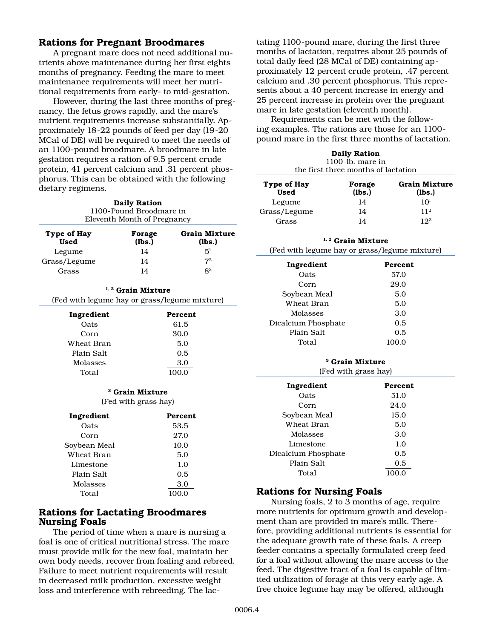# **Rations for Pregnant Broodmares**

A pregnant mare does not need additional nutrients above maintenance during her first eights months of pregnancy. Feeding the mare to meet maintenance requirements will meet her nutritional requirements from early- to mid-gestation.

However, during the last three months of pregnancy, the fetus grows rapidly, and the mare's nutrient requirements increase substantially. Approximately 18-22 pounds of feed per day (19-20 MCal of DE) will be required to meet the needs of an 1100-pound broodmare. A broodmare in late gestation requires a ration of 9.5 percent crude protein, 41 percent calcium and .31 percent phosphorus. This can be obtained with the following dietary regimens.

**Daily Ration** 1100-Pound Broodmare in Eleventh Month of Pregnancy **Type of Hay Forage Grain Mixture**  Used (lbs.) (lbs.) Legume  $14$   $5<sup>1</sup>$ Grass/Legume  $14$   $7<sup>2</sup>$ Grass  $14$   $8^3$ 

| $1, 2$ Grain Mixture<br>(Fed with legume hay or grass/legume mixture) |         |  |
|-----------------------------------------------------------------------|---------|--|
| Ingredient                                                            | Percent |  |
| Oats                                                                  | 61.5    |  |
| Corn                                                                  | 30.0    |  |
| Wheat Bran                                                            | 5.0     |  |
| Plain Salt                                                            | 0.5     |  |
| Molasses                                                              | 3.0     |  |
| Total                                                                 | 100.0   |  |
| <sup>3</sup> Grain Mixture<br>(Fed with grass hay)                    |         |  |

| Ingredient   | Percent |
|--------------|---------|
| Oats         | 53.5    |
| Corn         | 27.0    |
| Soybean Meal | 10.0    |
| Wheat Bran   | 5.0     |
| Limestone    | 1.0     |
| Plain Salt   | 0.5     |
| Molasses     | 3.0     |
| Total        | 100.0   |

# **Rations for Lactating Broodmares Nursing Foals**

The period of time when a mare is nursing a foal is one of critical nutritional stress. The mare must provide milk for the new foal, maintain her own body needs, recover from foaling and rebreed. Failure to meet nutrient requirements will result in decreased milk production, excessive weight loss and interference with rebreeding. The lactating 1100-pound mare, during the first three months of lactation, requires about 25 pounds of total daily feed (28 MCal of DE) containing approximately 12 percent crude protein, .47 percent calcium and .30 percent phosphorus. This represents about a 40 percent increase in energy and 25 percent increase in protein over the pregnant mare in late gestation (eleventh month).

Requirements can be met with the following examples. The rations are those for an 1100 pound mare in the first three months of lactation.

|             | <b>Daily Ration</b><br>$1100$ -lb. mare in<br>the first three months of lactation |                      |
|-------------|-----------------------------------------------------------------------------------|----------------------|
| Type of Hay | Forage                                                                            | <b>Grain Mixture</b> |
| <b>Used</b> | (lbs.)                                                                            | (lbs.)               |

| <br><b>Used</b> | $\sim$ ,<br>(lbs.) | ---------------<br>(lbs.) |
|-----------------|--------------------|---------------------------|
| Legume          | 14                 | 10 <sup>1</sup>           |
| Grass/Legume    | 14                 | 11 <sup>2</sup>           |
| Grass           | 14                 | 193                       |

#### **1, 2 Grain Mixture**

(Fed with legume hay or grass/legume mixture)

| Ingredient          | <b>Percent</b> |
|---------------------|----------------|
| Oats                | 57.0           |
| Corn                | 29.0           |
| Soybean Meal        | 5.0            |
| Wheat Bran          | 5.0            |
| Molasses            | 3.0            |
| Dicalcium Phosphate | 0.5            |
| Plain Salt          | 0.5            |
| Total               |                |

## **<sup>3</sup> Grain Mixture**

| (Fed with grass hay) |                |  |
|----------------------|----------------|--|
| Ingredient           | <b>Percent</b> |  |
| Oats                 | 51.0           |  |
| Corn                 | 24.0           |  |
| Soybean Meal         | 15.0           |  |
| Wheat Bran           | 5.0            |  |
| Molasses             | 3.0            |  |
| Limestone            | 1.0            |  |
| Dicalcium Phosphate  | 0.5            |  |
| Plain Salt           | 0.5            |  |
| Total                |                |  |

# **Rations for Nursing Foals**

Nursing foals, 2 to 3 months of age, require more nutrients for optimum growth and development than are provided in mare's milk. Therefore, providing additional nutrients is essential for the adequate growth rate of these foals. A creep feeder contains a specially formulated creep feed for a foal without allowing the mare access to the feed. The digestive tract of a foal is capable of limited utilization of forage at this very early age. A free choice legume hay may be offered, although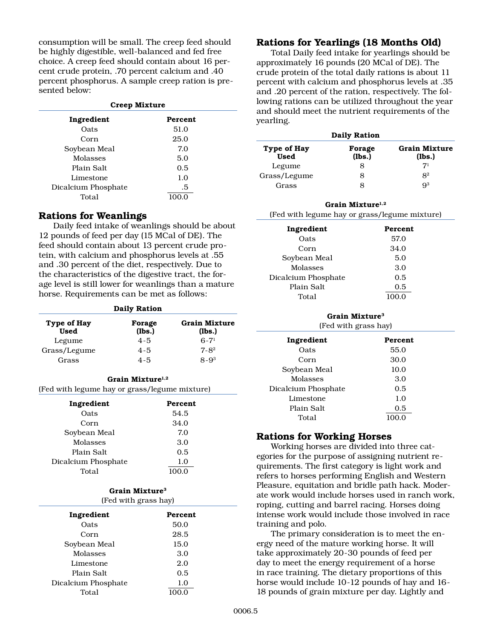consumption will be small. The creep feed should be highly digestible, well-balanced and fed free choice. A creep feed should contain about 16 percent crude protein, .70 percent calcium and .40 percent phosphorus. A sample creep ration is presented below:

| Creep Mixture       |                |  |
|---------------------|----------------|--|
| Ingredient          | <b>Percent</b> |  |
| Oats                | 51.0           |  |
| Corn                | 25.0           |  |
| Soybean Meal        | 7.0            |  |
| <b>Molasses</b>     | 5.0            |  |
| Plain Salt          | 0.5            |  |
| Limestone           | 1.0            |  |
| Dicalcium Phosphate | .5             |  |
| Total               |                |  |

# **Rations for Weanlings**

Daily feed intake of weanlings should be about 12 pounds of feed per day (15 MCal of DE). The feed should contain about 13 percent crude protein, with calcium and phosphorus levels at .55 and .30 percent of the diet, respectively. Due to the characteristics of the digestive tract, the forage level is still lower for weanlings than a mature horse. Requirements can be met as follows:

| <b>Daily Ration</b>        |                  |                                |
|----------------------------|------------------|--------------------------------|
| Type of Hay<br><b>Used</b> | Forage<br>(lbs.) | <b>Grain Mixture</b><br>(lbs.) |
| Legume                     | $4 - 5$          | $6 - 71$                       |
| Grass/Legume               | $4 - 5$          | $7 - 8^2$                      |
| Grass                      | $4 - 5$          | $8 - 9^3$                      |

#### Grain Mixture<sup>1,2</sup>

(Fed with legume hay or grass/legume mixture)

| Ingredient          | Percent |
|---------------------|---------|
| Oats                | 54.5    |
| Corn                | 34.0    |
| Soybean Meal        | 7.0     |
| <b>Molasses</b>     | 3.0     |
| Plain Salt          | 0.5     |
| Dicalcium Phosphate | 1.0     |
| Total               |         |

#### **Grain Mixture3**

| (Fed with grass hay) |                |
|----------------------|----------------|
| Ingredient           | <b>Percent</b> |
| Oats                 | 50.0           |
| Corn                 | 28.5           |
| Soybean Meal         | 15.0           |
| Molasses             | 3.0            |
| Limestone            | 2.0            |
| Plain Salt           | 0.5            |
| Dicalcium Phosphate  | 1.0            |
| Total                |                |

# 0006.5

# **Rations for Yearlings (18 Months Old)**

Total Daily feed intake for yearlings should be approximately 16 pounds (20 MCal of DE). The crude protein of the total daily rations is about 11 percent with calcium and phosphorus levels at .35 and .20 percent of the ration, respectively. The following rations can be utilized throughout the year and should meet the nutrient requirements of the yearling.

| <b>Daily Ration</b>        |                  |                         |  |
|----------------------------|------------------|-------------------------|--|
| Type of Hay<br><b>Used</b> | Forage<br>(lbs.) | Grain Mixture<br>(lbs.) |  |
| Legume                     | 8                | $7^{1}$                 |  |
| Grass/Legume               | 8                | 8 <sup>2</sup>          |  |
| Grass                      | 8                | $Q^3$                   |  |

# **Grain Mixture1,2** (Fed with legume hay or grass/legume mixture)

| Ingredient          | <b>Percent</b> |
|---------------------|----------------|
| Oats                | 57.0           |
| Corn                | 34.0           |
| Soybean Meal        | 5.0            |
| Molasses            | 3.0            |
| Dicalcium Phosphate | 0.5            |
| Plain Salt          | 0.5            |
| Total               | 100.0          |

# **Grain Mixture3**

| Ingredient          | <b>Percent</b> |
|---------------------|----------------|
| Oats                | 55.0           |
| Corn                | 30.0           |
| Soybean Meal        | 10.0           |
| Molasses            | 3.0            |
| Dicalcium Phosphate | 0.5            |
| Limestone           | 1.0            |
| Plain Salt          | 0.5            |
| Total               | 100.0          |

# **Rations for Working Horses**

Working horses are divided into three categories for the purpose of assigning nutrient requirements. The first category is light work and refers to horses performing English and Western Pleasure, equitation and bridle path hack. Moderate work would include horses used in ranch work, roping, cutting and barrel racing. Horses doing intense work would include those involved in race training and polo.

The primary consideration is to meet the energy need of the mature working horse. It will take approximately 20-30 pounds of feed per day to meet the energy requirement of a horse in race training. The dietary proportions of this horse would include 10-12 pounds of hay and 16- 18 pounds of grain mixture per day. Lightly and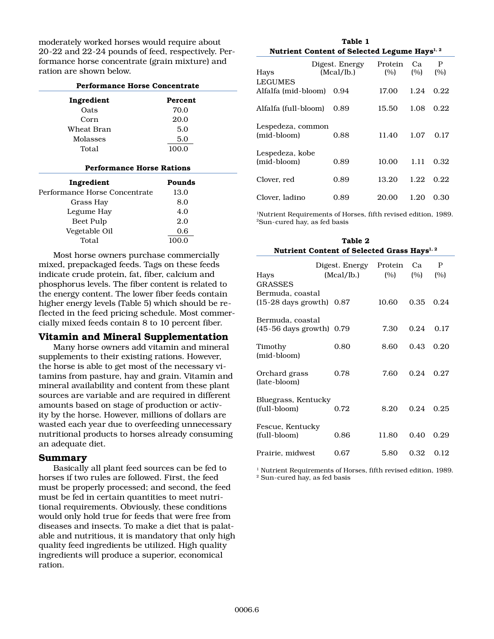moderately worked horses would require about 20-22 and 22-24 pounds of feed, respectively. Performance horse concentrate (grain mixture) and ration are shown below.

| <b>Performance Horse Concentrate</b> |                                  |  |
|--------------------------------------|----------------------------------|--|
| Percent                              |                                  |  |
| 70.0                                 |                                  |  |
| 20.0                                 |                                  |  |
| 5.0                                  |                                  |  |
| 5.0                                  |                                  |  |
| 100.0                                |                                  |  |
|                                      |                                  |  |
| Pounds                               |                                  |  |
| 13.0                                 |                                  |  |
| 8.0                                  |                                  |  |
| 4.0                                  |                                  |  |
| 2.0                                  |                                  |  |
| 0.6                                  |                                  |  |
| 100.0                                |                                  |  |
|                                      | <b>Performance Horse Rations</b> |  |

Most horse owners purchase commercially mixed, prepackaged feeds. Tags on these feeds indicate crude protein, fat, fiber, calcium and phosphorus levels. The fiber content is related to the energy content. The lower fiber feeds contain higher energy levels (Table 5) which should be reflected in the feed pricing schedule. Most commercially mixed feeds contain 8 to 10 percent fiber.

# **Vitamin and Mineral Supplementation**

Many horse owners add vitamin and mineral supplements to their existing rations. However, the horse is able to get most of the necessary vitamins from pasture, hay and grain. Vitamin and mineral availability and content from these plant sources are variable and are required in different amounts based on stage of production or activity by the horse. However, millions of dollars are wasted each year due to overfeeding unnecessary nutritional products to horses already consuming an adequate diet.

# **Summary**

Basically all plant feed sources can be fed to horses if two rules are followed. First, the feed must be properly processed; and second, the feed must be fed in certain quantities to meet nutritional requirements. Obviously, these conditions would only hold true for feeds that were free from diseases and insects. To make a diet that is palatable and nutritious, it is mandatory that only high quality feed ingredients be utilized. High quality ingredients will produce a superior, economical ration.

| Table 1                                                  |
|----------------------------------------------------------|
| Nutrient Content of Selected Legume Hays <sup>1, 2</sup> |

| Hays                                  | Digest. Energy<br>(Mcal/1b.) | Protein<br>(%) | Ca.<br>(%) | P<br>(%) |
|---------------------------------------|------------------------------|----------------|------------|----------|
| <b>LEGUMES</b><br>Alfalfa (mid-bloom) | 0.94                         | 17.00          | 1.24       | 0.22     |
| Alfalfa (full-bloom)                  | 0.89                         | 15.50          | 1.08       | 0.22     |
| Lespedeza, common<br>(mid-bloom)      | 0.88                         | 11.40          | 1.07       | 0.17     |
| Lespedeza, kobe<br>(mid-bloom)        | 0.89                         | 10.00          | 1.11       | 0.32     |
| Clover, red                           | 0.89                         | 13.20          | 1.22       | 0.22     |
| Clover, ladino                        | 0.89                         | 20.00          | 1.20       | 0.30     |

1Nutrient Requirements of Horses, fifth revised edition, 1989. 2Sun-cured hay, as fed basis

**Table 2**

| Table 2<br>Nutrient Content of Selected Grass Hays <sup>1, 2</sup> |                |         |      |      |
|--------------------------------------------------------------------|----------------|---------|------|------|
|                                                                    | Digest. Energy | Protein | Ca   | P    |
| Hays                                                               | (Mcal/lb.)     | (%)     | (%)  | (%)  |
| GRASSES                                                            |                |         |      |      |
| Bermuda, coastal                                                   |                |         |      |      |
| $(15-28 \text{ days growth})$                                      | 0.87           | 10.60   | 0.35 | 0.24 |
| Bermuda, coastal                                                   |                |         |      |      |
| $(45-56 \text{ days growth})$ 0.79                                 |                | 7.30    | 0.24 | 0.17 |
|                                                                    |                | 8.60    | 0.43 | 0.20 |
| Timothy<br>(mid-bloom)                                             | 0.80           |         |      |      |
| Orchard grass                                                      | 0.78           | 7.60    | 0.24 | 0.27 |
| (late-bloom)                                                       |                |         |      |      |
| Bluegrass, Kentucky                                                |                |         |      |      |
| (full-bloom)                                                       | 0.72           | 8.20    | 0.24 | 0.25 |
|                                                                    |                |         |      |      |
| Fescue, Kentucky                                                   |                |         |      |      |
| (full-bloom)                                                       | 0.86           | 11.80   | 0.40 | 0.29 |
| Prairie, midwest                                                   | 0.67           | 5.80    | 0.32 | 0.12 |
|                                                                    |                |         |      |      |

<sup>1</sup> Nutrient Requirements of Horses, fifth revised edition, 1989. 2 Sun-cured hay, as fed basis